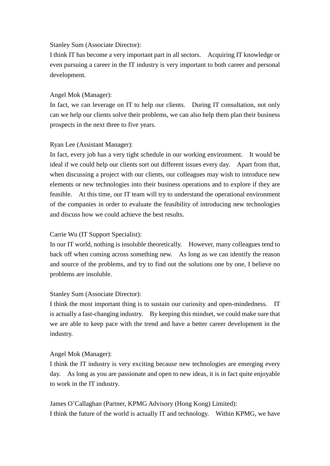# Stanley Sum (Associate Director):

 I think IT has become a very important part in all sectors. Acquiring IT knowledge or even pursuing a career in the IT industry is very important to both career and personal development.

### Angel Mok (Manager):

 In fact, we can leverage on IT to help our clients. During IT consultation, not only can we help our clients solve their problems, we can also help them plan their business prospects in the next three to five years.

#### Ryan Lee (Assistant Manager):

 In fact, every job has a very tight schedule in our working environment. It would be ideal if we could help our clients sort out different issues every day. Apart from that, when discussing a project with our clients, our colleagues may wish to introduce new elements or new technologies into their business operations and to explore if they are feasible. At this time, our IT team will try to understand the operational environment of the companies in order to evaluate the feasibility of introducing new technologies and discuss how we could achieve the best results.

### Carrie Wu (IT Support Specialist):

 In our IT world, nothing is insoluble theoretically. However, many colleagues tend to back off when coming across something new. As long as we can identify the reason and source of the problems, and try to find out the solutions one by one, I believe no problems are insoluble.

# Stanley Sum (Associate Director):

 I think the most important thing is to sustain our curiosity and open-mindedness. IT is actually a fast-changing industry. By keeping this mindset, we could make sure that we are able to keep pace with the trend and have a better career development in the industry.

# Angel Mok (Manager):

 I think the IT industry is very exciting because new technologies are emerging every day. As long as you are passionate and open to new ideas, it is in fact quite enjoyable to work in the IT industry.

James O'Callaghan (Partner, KPMG Advisory (Hong Kong) Limited): I think the future of the world is actually IT and technology. Within KPMG, we have